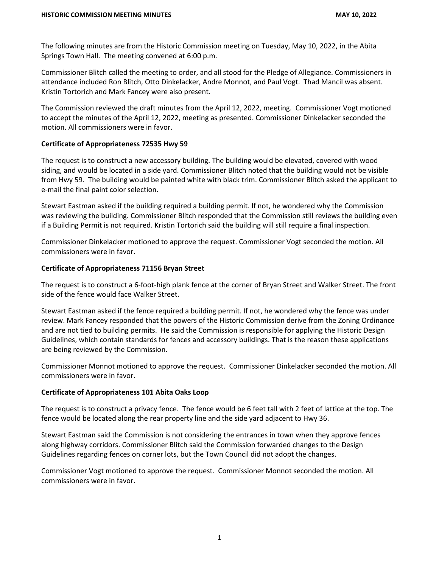The following minutes are from the Historic Commission meeting on Tuesday, May 10, 2022, in the Abita Springs Town Hall. The meeting convened at 6:00 p.m.

Commissioner Blitch called the meeting to order, and all stood for the Pledge of Allegiance. Commissioners in attendance included Ron Blitch, Otto Dinkelacker, Andre Monnot, and Paul Vogt. Thad Mancil was absent. Kristin Tortorich and Mark Fancey were also present.

The Commission reviewed the draft minutes from the April 12, 2022, meeting. Commissioner Vogt motioned to accept the minutes of the April 12, 2022, meeting as presented. Commissioner Dinkelacker seconded the motion. All commissioners were in favor.

## **Certificate of Appropriateness 72535 Hwy 59**

The request is to construct a new accessory building. The building would be elevated, covered with wood siding, and would be located in a side yard. Commissioner Blitch noted that the building would not be visible from Hwy 59. The building would be painted white with black trim. Commissioner Blitch asked the applicant to e-mail the final paint color selection.

Stewart Eastman asked if the building required a building permit. If not, he wondered why the Commission was reviewing the building. Commissioner Blitch responded that the Commission still reviews the building even if a Building Permit is not required. Kristin Tortorich said the building will still require a final inspection.

Commissioner Dinkelacker motioned to approve the request. Commissioner Vogt seconded the motion. All commissioners were in favor.

### **Certificate of Appropriateness 71156 Bryan Street**

The request is to construct a 6-foot-high plank fence at the corner of Bryan Street and Walker Street. The front side of the fence would face Walker Street.

Stewart Eastman asked if the fence required a building permit. If not, he wondered why the fence was under review. Mark Fancey responded that the powers of the Historic Commission derive from the Zoning Ordinance and are not tied to building permits. He said the Commission is responsible for applying the Historic Design Guidelines, which contain standards for fences and accessory buildings. That is the reason these applications are being reviewed by the Commission.

Commissioner Monnot motioned to approve the request. Commissioner Dinkelacker seconded the motion. All commissioners were in favor.

# **Certificate of Appropriateness 101 Abita Oaks Loop**

The request is to construct a privacy fence. The fence would be 6 feet tall with 2 feet of lattice at the top. The fence would be located along the rear property line and the side yard adjacent to Hwy 36.

Stewart Eastman said the Commission is not considering the entrances in town when they approve fences along highway corridors. Commissioner Blitch said the Commission forwarded changes to the Design Guidelines regarding fences on corner lots, but the Town Council did not adopt the changes.

Commissioner Vogt motioned to approve the request. Commissioner Monnot seconded the motion. All commissioners were in favor.